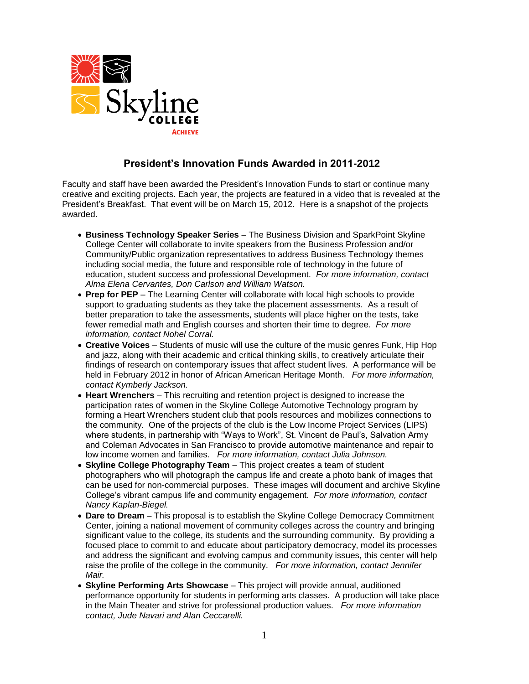

## **President's Innovation Funds Awarded in 2011-2012**

Faculty and staff have been awarded the President's Innovation Funds to start or continue many creative and exciting projects. Each year, the projects are featured in a video that is revealed at the President's Breakfast. That event will be on March 15, 2012. Here is a snapshot of the projects awarded.

- **Business Technology Speaker Series** The Business Division and SparkPoint Skyline College Center will collaborate to invite speakers from the Business Profession and/or Community/Public organization representatives to address Business Technology themes including social media, the future and responsible role of technology in the future of education, student success and professional Development. *For more information, contact Alma Elena Cervantes, Don Carlson and William Watson.*
- **Prep for PEP**  The Learning Center will collaborate with local high schools to provide support to graduating students as they take the placement assessments. As a result of better preparation to take the assessments, students will place higher on the tests, take fewer remedial math and English courses and shorten their time to degree*. For more information, contact Nohel Corral.*
- **Creative Voices** Students of music will use the culture of the music genres Funk, Hip Hop and jazz, along with their academic and critical thinking skills, to creatively articulate their findings of research on contemporary issues that affect student lives. A performance will be held in February 2012 in honor of African American Heritage Month. *For more information, contact Kymberly Jackson.*
- **Heart Wrenchers**  This recruiting and retention project is designed to increase the participation rates of women in the Skyline College Automotive Technology program by forming a Heart Wrenchers student club that pools resources and mobilizes connections to the community. One of the projects of the club is the Low Income Project Services (LIPS) where students, in partnership with "Ways to Work", St. Vincent de Paul's, Salvation Army and Coleman Advocates in San Francisco to provide automotive maintenance and repair to low income women and families. *For more information, contact Julia Johnson.*
- **Skyline College Photography Team**  This project creates a team of student photographers who will photograph the campus life and create a photo bank of images that can be used for non-commercial purposes. These images will document and archive Skyline College's vibrant campus life and community engagement. *For more information, contact Nancy Kaplan-Biegel.*
- **Dare to Dream**  This proposal is to establish the Skyline College Democracy Commitment Center, joining a national movement of community colleges across the country and bringing significant value to the college, its students and the surrounding community. By providing a focused place to commit to and educate about participatory democracy, model its processes and address the significant and evolving campus and community issues, this center will help raise the profile of the college in the community. *For more information, contact Jennifer Mair.*
- **Skyline Performing Arts Showcase**  This project will provide annual, auditioned performance opportunity for students in performing arts classes. A production will take place in the Main Theater and strive for professional production values. *For more information contact, Jude Navari and Alan Ceccarelli.*